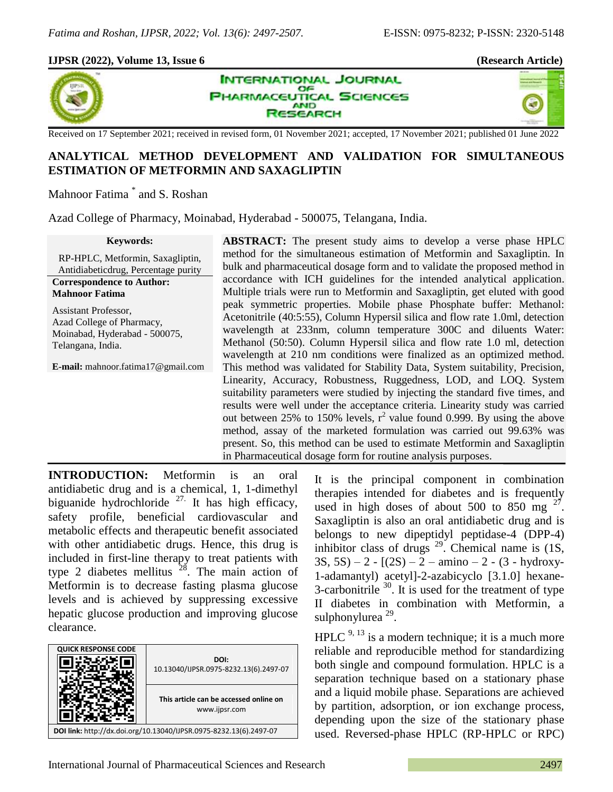z.

# **IJPSR (2022), Volume 13, Issue 6 (Research Article)**



**INTERNATIONAL JOURNAL OF** UTICAL SCIENCES **AND** SEARCH

Received on 17 September 2021; received in revised form, 01 November 2021; accepted, 17 November 2021; published 01 June 2022

# **ANALYTICAL METHOD DEVELOPMENT AND VALIDATION FOR SIMULTANEOUS ESTIMATION OF METFORMIN AND SAXAGLIPTIN**

Mahnoor Fatima \* and S. Roshan

Azad College of Pharmacy, Moinabad, Hyderabad - 500075, Telangana, India.

| <b>Keywords:</b>                          | <b>ABSTRACT:</b> The present study aims to develop a verse phase HPLC         |
|-------------------------------------------|-------------------------------------------------------------------------------|
| RP-HPLC, Metformin, Saxagliptin,          | method for the simultaneous estimation of Metformin and Saxagliptin. In       |
| Antidiabeticdrug, Percentage purity       | bulk and pharmaceutical dosage form and to validate the proposed method in    |
| <b>Correspondence to Author:</b>          | accordance with ICH guidelines for the intended analytical application.       |
| <b>Mahnoor Fatima</b>                     | Multiple trials were run to Metformin and Saxagliptin, get eluted with good   |
| Assistant Professor,                      | peak symmetric properties. Mobile phase Phosphate buffer: Methanol:           |
| Azad College of Pharmacy,                 | Acetonitrile (40:5:55), Column Hypersil silica and flow rate 1.0ml, detection |
| Moinabad, Hyderabad - 500075,             | wavelength at 233nm, column temperature 300C and diluents Water:              |
| Telangana, India.                         | Methanol (50:50). Column Hypersil silica and flow rate 1.0 ml, detection      |
|                                           | wavelength at 210 nm conditions were finalized as an optimized method.        |
| <b>E-mail:</b> mahnoor.fatima17@gmail.com | This method was validated for Stability Data, System suitability, Precision,  |
|                                           | Linearity, Accuracy, Robustness, Ruggedness, LOD, and LOQ. System             |
|                                           | suitability parameters were studied by injecting the standard five times, and |
|                                           | results were well under the acceptance criteria. Linearity study was carried  |
|                                           | out between 25% to 150% levels, $r^2$ value found 0.999. By using the above   |
|                                           | method, assay of the marketed formulation was carried out 99.63% was          |
|                                           | present. So, this method can be used to estimate Metformin and Saxagliptin    |
|                                           | in Pharmaceutical dosage form for routine analysis purposes.                  |
|                                           |                                                                               |

**INTRODUCTION:** Metformin is an oral antidiabetic drug and is a chemical, 1, 1-dimethyl biguanide hydrochloride  $^{27}$ . It has high efficacy, safety profile, beneficial cardiovascular and metabolic effects and therapeutic benefit associated with other antidiabetic drugs. Hence, this drug is included in first-line therapy to treat patients with type 2 diabetes mellitus  $2^8$ . The main action of Metformin is to decrease fasting plasma glucose levels and is achieved by suppressing excessive hepatic glucose production and improving glucose clearance.

| <b>QUICK RESPONSE CODE</b>                                         | DOI:<br>10.13040/IJPSR.0975-8232.13(6).2497-07          |  |  |
|--------------------------------------------------------------------|---------------------------------------------------------|--|--|
|                                                                    | This article can be accessed online on<br>www.ijpsr.com |  |  |
| DOI link: http://dx.doi.org/10.13040/IJPSR.0975-8232.13(6).2497-07 |                                                         |  |  |

It is the principal component in combination therapies intended for diabetes and is frequently used in high doses of about 500 to 850 mg  $2^7$ . Saxagliptin is also an oral antidiabetic drug and is belongs to new dipeptidyl peptidase-4 (DPP-4) inhibitor class of drugs  $^{29}$ . Chemical name is (1S,  $3S, 5S$ ) – 2 -  $[(2S) - 2 - \text{amino} - 2 - (3 - \text{hydroxy} - \text{hydroxy}]$ 1-adamantyl) acetyl]-2-azabicyclo [3.1.0] hexane-3-carbonitrile  $30$ . It is used for the treatment of type II diabetes in combination with Metformin, a sulphonylurea<sup>29</sup>.

 $HPLC<sup>9, 13</sup>$  is a modern technique; it is a much more reliable and reproducible method for standardizing both single and compound formulation. HPLC is a separation technique based on a stationary phase and a liquid mobile phase. Separations are achieved by partition, adsorption, or ion exchange process, depending upon the size of the stationary phase used. Reversed-phase HPLC (RP-HPLC or RPC)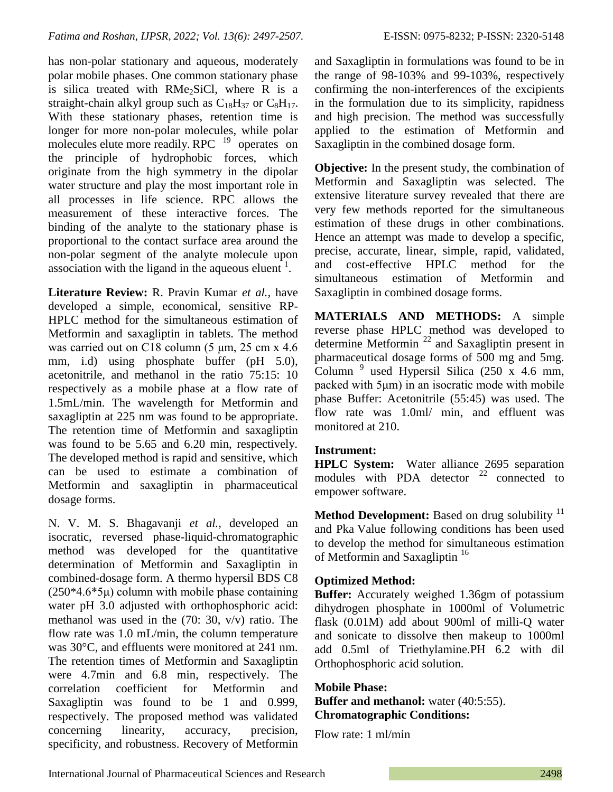has non-polar stationary and aqueous, moderately polar mobile phases. One common stationary phase is silica treated with  $RMe<sub>2</sub>SiCl$ , where R is a straight-chain alkyl group such as  $C_{18}H_{37}$  or  $C_8H_{17}$ . With these stationary phases, retention time is longer for more non-polar molecules, while polar molecules elute more readily. RPC  $19$  operates on the principle of hydrophobic forces, which originate from the high symmetry in the dipolar water structure and play the most important role in all processes in life science. RPC allows the measurement of these interactive forces. The binding of the analyte to the stationary phase is proportional to the contact surface area around the non-polar segment of the analyte molecule upon association with the ligand in the aqueous eluent<sup>1</sup>.

**Literature Review:** R. Pravin Kumar *et al.,* have developed a simple, economical, sensitive RP-HPLC method for the simultaneous estimation of Metformin and saxagliptin in tablets. The method was carried out on C18 column  $(5 \mu m, 25 \text{ cm} \times 4.6 \text{ m})$ mm, i.d) using phosphate buffer (pH 5.0), acetonitrile, and methanol in the ratio 75:15: 10 respectively as a mobile phase at a flow rate of 1.5mL/min. The wavelength for Metformin and saxagliptin at 225 nm was found to be appropriate. The retention time of Metformin and saxagliptin was found to be 5.65 and 6.20 min, respectively. The developed method is rapid and sensitive, which can be used to estimate a combination of Metformin and saxagliptin in pharmaceutical dosage forms.

N. V. M. S. Bhagavanji *et al.,* developed an isocratic, reversed phase-liquid-chromatographic method was developed for the quantitative determination of Metformin and Saxagliptin in combined-dosage form. A thermo hypersil BDS C8  $(250*4.6*5\mu)$  column with mobile phase containing water pH 3.0 adjusted with orthophosphoric acid: methanol was used in the (70: 30, v/v) ratio. The flow rate was 1.0 mL/min, the column temperature was 30°C, and effluents were monitored at 241 nm. The retention times of Metformin and Saxagliptin were 4.7min and 6.8 min, respectively. The correlation coefficient for Metformin and Saxagliptin was found to be 1 and 0.999, respectively. The proposed method was validated concerning linearity, accuracy, precision, specificity, and robustness. Recovery of Metformin

and Saxagliptin in formulations was found to be in the range of 98-103% and 99-103%, respectively confirming the non-interferences of the excipients in the formulation due to its simplicity, rapidness and high precision. The method was successfully applied to the estimation of Metformin and Saxagliptin in the combined dosage form.

**Objective:** In the present study, the combination of Metformin and Saxagliptin was selected. The extensive literature survey revealed that there are very few methods reported for the simultaneous estimation of these drugs in other combinations. Hence an attempt was made to develop a specific, precise, accurate, linear, simple, rapid, validated, and cost-effective HPLC method for the simultaneous estimation of Metformin and Saxagliptin in combined dosage forms.

**MATERIALS AND METHODS:** A simple reverse phase HPLC method was developed to determine Metformin <sup>22</sup> and Saxagliptin present in pharmaceutical dosage forms of 500 mg and 5mg. Column  $9$  used Hypersil Silica (250 x 4.6 mm, packed with 5μm) in an isocratic mode with mobile phase Buffer: Acetonitrile (55:45) was used. The flow rate was 1.0ml/ min, and effluent was monitored at 210.

# **Instrument:**

**HPLC System:** Water alliance 2695 separation modules with PDA detector  $22$  connected to empower software.

**Method Development:** Based on drug solubility <sup>11</sup> and Pka Value following conditions has been used to develop the method for simultaneous estimation of Metformin and Saxagliptin<sup>16</sup>

# **Optimized Method:**

**Buffer:** Accurately weighed 1.36gm of potassium dihydrogen phosphate in 1000ml of Volumetric flask (0.01M) add about 900ml of milli-Q water and sonicate to dissolve then makeup to 1000ml add 0.5ml of Triethylamine.PH 6.2 with dil Orthophosphoric acid solution.

**Mobile Phase: Buffer and methanol:** water (40:5:55). **Chromatographic Conditions:**

Flow rate: 1 ml/min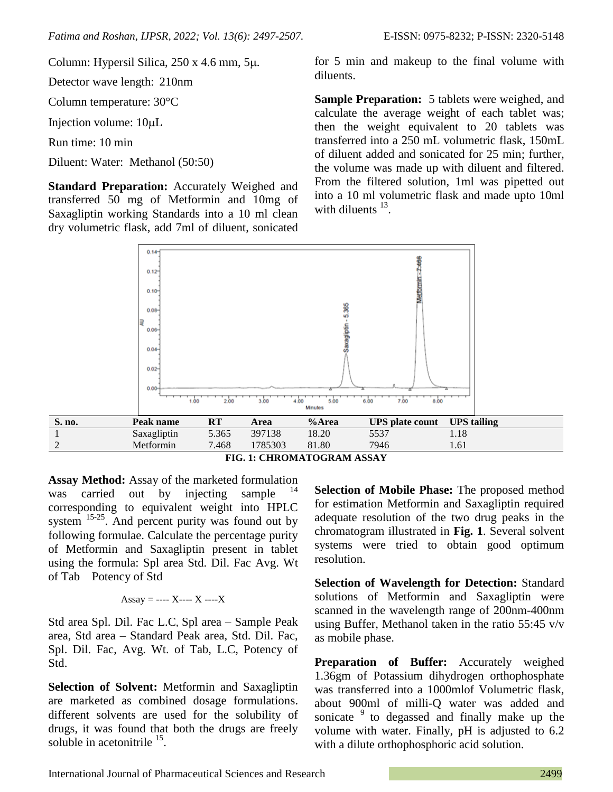Column: Hypersil Silica,  $250 \times 4.6$  mm,  $5\mu$ .

Detector wave length: 210nm

Column temperature: 30°C

Injection volume:  $10 \mu L$ 

Run time: 10 min

Diluent: Water: Methanol (50:50)

**Standard Preparation:** Accurately Weighed and transferred 50 mg of Metformin and 10mg of Saxagliptin working Standards into a 10 ml clean dry volumetric flask, add 7ml of diluent, sonicated for 5 min and makeup to the final volume with diluents.

**Sample Preparation:** 5 tablets were weighed, and calculate the average weight of each tablet was; then the weight equivalent to 20 tablets was transferred into a 250 mL volumetric flask, 150mL of diluent added and sonicated for 25 min; further, the volume was made up with diluent and filtered. From the filtered solution, 1ml was pipetted out into a 10 ml volumetric flask and made upto 10ml with diluents  $13$ .



**FIG. 1: CHROMATOGRAM ASSAY**

**Assay Method:** Assay of the marketed formulation was carried out by injecting sample corresponding to equivalent weight into HPLC system  $15-25$ . And percent purity was found out by following formulae. Calculate the percentage purity of Metformin and Saxagliptin present in tablet using the formula: Spl area Std. Dil. Fac Avg. Wt of Tab Potency of Std

$$
Assay = --- X --- X --- X
$$

Std area Spl. Dil. Fac L.C, Spl area – Sample Peak area, Std area – Standard Peak area, Std. Dil. Fac, Spl. Dil. Fac, Avg. Wt. of Tab, L.C, Potency of Std.

**Selection of Solvent:** Metformin and Saxagliptin are marketed as combined dosage formulations. different solvents are used for the solubility of drugs, it was found that both the drugs are freely soluble in acetonitrile <sup>15</sup>.

**Selection of Mobile Phase:** The proposed method for estimation Metformin and Saxagliptin required adequate resolution of the two drug peaks in the chromatogram illustrated in **Fig. 1**. Several solvent systems were tried to obtain good optimum resolution.

**Selection of Wavelength for Detection:** Standard solutions of Metformin and Saxagliptin were scanned in the wavelength range of 200nm-400nm using Buffer, Methanol taken in the ratio 55:45 v/v as mobile phase.

**Preparation of Buffer:** Accurately weighed 1.36gm of Potassium dihydrogen orthophosphate was transferred into a 1000mlof Volumetric flask, about 900ml of milli-Q water was added and sonicate <sup>9</sup> to degassed and finally make up the volume with water. Finally, pH is adjusted to 6.2 with a dilute orthophosphoric acid solution.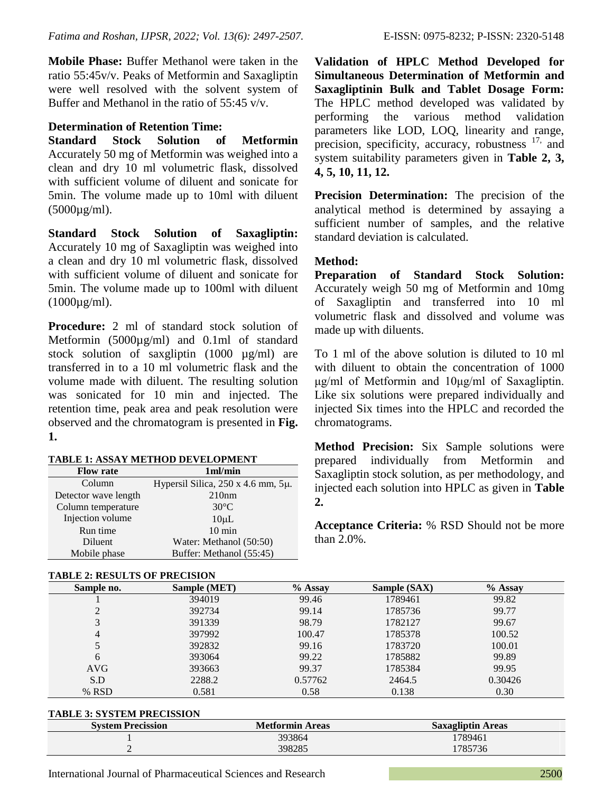**Mobile Phase:** Buffer Methanol were taken in the ratio 55:45v/v. Peaks of Metformin and Saxagliptin were well resolved with the solvent system of Buffer and Methanol in the ratio of 55:45 v/v.

# **Determination of Retention Time:**

**Standard Stock Solution of Metformin** Accurately 50 mg of Metformin was weighed into a clean and dry 10 ml volumetric flask, dissolved with sufficient volume of diluent and sonicate for 5min. The volume made up to 10ml with diluent  $(5000\mu g/ml)$ .

**Standard Stock Solution of Saxagliptin:**  Accurately 10 mg of Saxagliptin was weighed into a clean and dry 10 ml volumetric flask, dissolved with sufficient volume of diluent and sonicate for 5min. The volume made up to 100ml with diluent  $(1000\mu\text{g/ml})$ .

**Procedure:** 2 ml of standard stock solution of Metformin (5000µg/ml) and 0.1ml of standard stock solution of saxgliptin (1000 µg/ml) are transferred in to a 10 ml volumetric flask and the volume made with diluent. The resulting solution was sonicated for 10 min and injected. The retention time, peak area and peak resolution were observed and the chromatogram is presented in **Fig. 1.**

#### **TABLE 1: ASSAY METHOD DEVELOPMENT**

| <b>Flow rate</b>     | 1 <sub>m</sub>                                 |
|----------------------|------------------------------------------------|
| Column               | Hypersil Silica, $250 \times 4.6$ mm, $5\mu$ . |
| Detector wave length | 210nm                                          |
| Column temperature   | $30^{\circ}$ C                                 |
| Injection volume     | $10\mu L$                                      |
| Run time             | $10 \text{ min}$                               |
| Diluent              | Water: Methanol (50:50)                        |
| Mobile phase         | Buffer: Methanol (55:45)                       |

# **TABLE 2: RESULTS OF PRECISION**

**Validation of HPLC Method Developed for Simultaneous Determination of Metformin and Saxagliptinin Bulk and Tablet Dosage Form:** The HPLC method developed was validated by performing the various method validation parameters like LOD, LOQ, linearity and range, precision, specificity, accuracy, robustness <sup>17,</sup> and system suitability parameters given in **Table 2, 3, 4, 5, 10, 11, 12.**

**Precision Determination:** The precision of the analytical method is determined by assaying a sufficient number of samples, and the relative standard deviation is calculated.

# **Method:**

**Preparation of Standard Stock Solution:** Accurately weigh 50 mg of Metformin and 10mg of Saxagliptin and transferred into 10 ml volumetric flask and dissolved and volume was made up with diluents.

To 1 ml of the above solution is diluted to 10 ml with diluent to obtain the concentration of 1000 μg/ml of Metformin and 10μg/ml of Saxagliptin. Like six solutions were prepared individually and injected Six times into the HPLC and recorded the chromatograms.

**Method Precision:** Six Sample solutions were prepared individually from Metformin and Saxagliptin stock solution, as per methodology, and injected each solution into HPLC as given in **Table 2.**

**Acceptance Criteria:** % RSD Should not be more than 2.0%.

| Sample no.     | Sample (MET) | $%$ Assay | Sample (SAX) | $%$ Assay |
|----------------|--------------|-----------|--------------|-----------|
|                | 394019       | 99.46     | 1789461      | 99.82     |
|                | 392734       | 99.14     | 1785736      | 99.77     |
| 3              | 391339       | 98.79     | 1782127      | 99.67     |
| $\overline{4}$ | 397992       | 100.47    | 1785378      | 100.52    |
|                | 392832       | 99.16     | 1783720      | 100.01    |
| 6              | 393064       | 99.22     | 1785882      | 99.89     |
| AVG            | 393663       | 99.37     | 1785384      | 99.95     |
| S.D            | 2288.2       | 0.57762   | 2464.5       | 0.30426   |
| % RSD          | 0.581        | 0.58      | 0.138        | 0.30      |

#### **TABLE 3: SYSTEM PRECISSION**

| <b>System Precission</b> | <b>Metformin Areas</b> | <b>Saxagliptin Areas</b> |
|--------------------------|------------------------|--------------------------|
|                          | 393864                 | 1789461                  |
|                          | 398285                 | 1785736                  |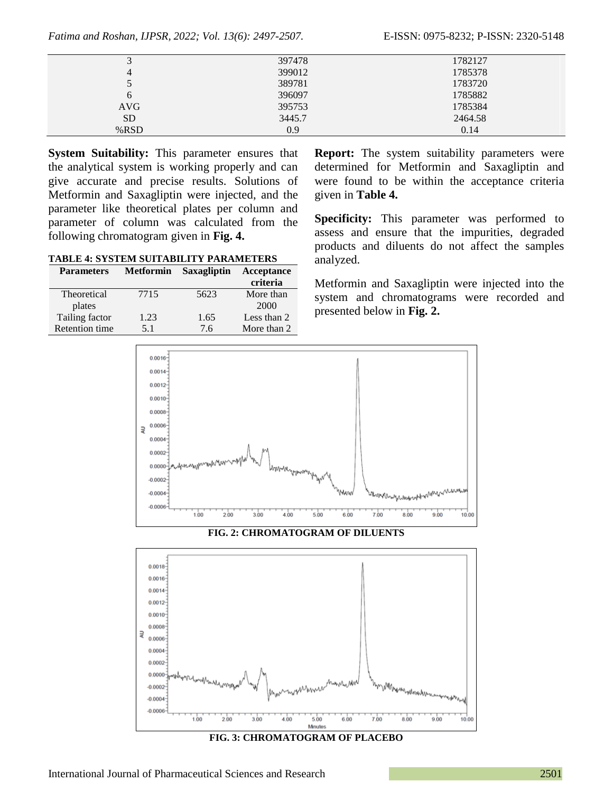*Fatima and Roshan, IJPSR, 2022; Vol. 13(6): 2497-2507.* E-ISSN: 0975-8232; P-ISSN: 2320-5148

| ◡          | 397478 | 1782127 |
|------------|--------|---------|
| 4          | 399012 | 1785378 |
|            | 389781 | 1783720 |
| b          | 396097 | 1785882 |
| <b>AVG</b> | 395753 | 1785384 |
| <b>SD</b>  | 3445.7 | 2464.58 |
| %RSD       | 0.9    | 0.14    |
|            |        |         |

**System Suitability:** This parameter ensures that the analytical system is working properly and can give accurate and precise results. Solutions of Metformin and Saxagliptin were injected, and the parameter like theoretical plates per column and parameter of column was calculated from the following chromatogram given in **Fig. 4.**

**TABLE 4: SYSTEM SUITABILITY PARAMETERS**

| <b>Parameters</b>     | <b>Metformin</b> | Saxagliptin | Acceptance  |
|-----------------------|------------------|-------------|-------------|
|                       |                  |             | criteria    |
| Theoretical           | 7715             | 5623        | More than   |
| plates                |                  |             | 2000        |
| Tailing factor        | 1.23             | 1.65        | Less than 2 |
| <b>Retention time</b> | 5.1              | 7.6         | More than 2 |

**Report:** The system suitability parameters were determined for Metformin and Saxagliptin and were found to be within the acceptance criteria given in **Table 4.**

**Specificity:** This parameter was performed to assess and ensure that the impurities, degraded products and diluents do not affect the samples analyzed.

Metformin and Saxagliptin were injected into the system and chromatograms were recorded and presented below in **Fig. 2.**



**FIG. 2: CHROMATOGRAM OF DILUENTS**



**FIG. 3: CHROMATOGRAM OF PLACEBO**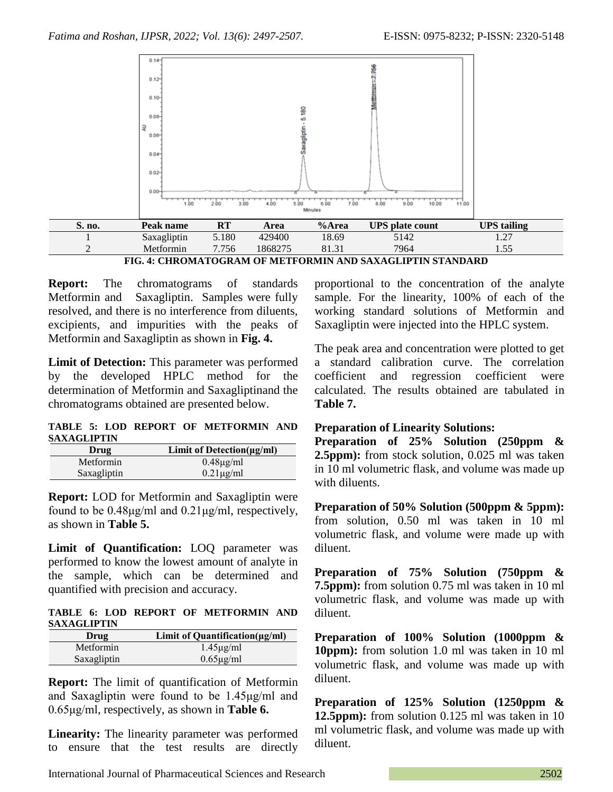

**FIG. 4: CHROMATOGRAM OF METFORMIN AND SAXAGLIPTIN STANDARD**

**Report:** The chromatograms of standards Metformin and Saxagliptin. Samples were fully resolved, and there is no interference from diluents, excipients, and impurities with the peaks of Metformin and Saxagliptin as shown in **Fig. 4.**

**Limit of Detection:** This parameter was performed by the developed HPLC method for the determination of Metformin and Saxagliptinand the chromatograms obtained are presented below.

**TABLE 5: LOD REPORT OF METFORMIN AND SAXAGLIPTIN**

| Drug        | Limit of Detection $(\mu g/ml)$ |
|-------------|---------------------------------|
| Metformin   | $0.48\mu g/ml$                  |
| Saxagliptin | $0.21 \mu g/ml$                 |

**Report:** LOD for Metformin and Saxagliptin were found to be 0.48μg/ml and 0.21μg/ml, respectively, as shown in **Table 5.**

**Limit of Quantification:** LOQ parameter was performed to know the lowest amount of analyte in the sample, which can be determined and quantified with precision and accuracy.

**TABLE 6: LOD REPORT OF METFORMIN AND SAXAGLIPTIN**

| Drug        | Limit of Quantification $(\mu g/ml)$ |
|-------------|--------------------------------------|
| Metformin   | $1.45\mu g/ml$                       |
| Saxagliptin | $0.65\mu g/ml$                       |

**Report:** The limit of quantification of Metformin and Saxagliptin were found to be 1.45μg/ml and 0.65μg/ml, respectively, as shown in **Table 6.**

**Linearity:** The linearity parameter was performed to ensure that the test results are directly proportional to the concentration of the analyte sample. For the linearity, 100% of each of the working standard solutions of Metformin and Saxagliptin were injected into the HPLC system.

The peak area and concentration were plotted to get a standard calibration curve. The correlation coefficient and regression coefficient were calculated. The results obtained are tabulated in **Table 7.**

# **Preparation of Linearity Solutions:**

**Preparation of 25% Solution (250ppm & 2.5ppm):** from stock solution, 0.025 ml was taken in 10 ml volumetric flask, and volume was made up with diluents.

**Preparation of 50% Solution (500ppm & 5ppm):** from solution, 0.50 ml was taken in 10 ml volumetric flask, and volume were made up with diluent.

**Preparation of 75% Solution (750ppm & 7.5ppm):** from solution 0.75 ml was taken in 10 ml volumetric flask, and volume was made up with diluent.

**Preparation of 100% Solution (1000ppm & 10ppm):** from solution 1.0 ml was taken in 10 ml volumetric flask, and volume was made up with diluent.

**Preparation of 125% Solution (1250ppm & 12.5ppm):** from solution 0.125 ml was taken in 10 ml volumetric flask, and volume was made up with diluent.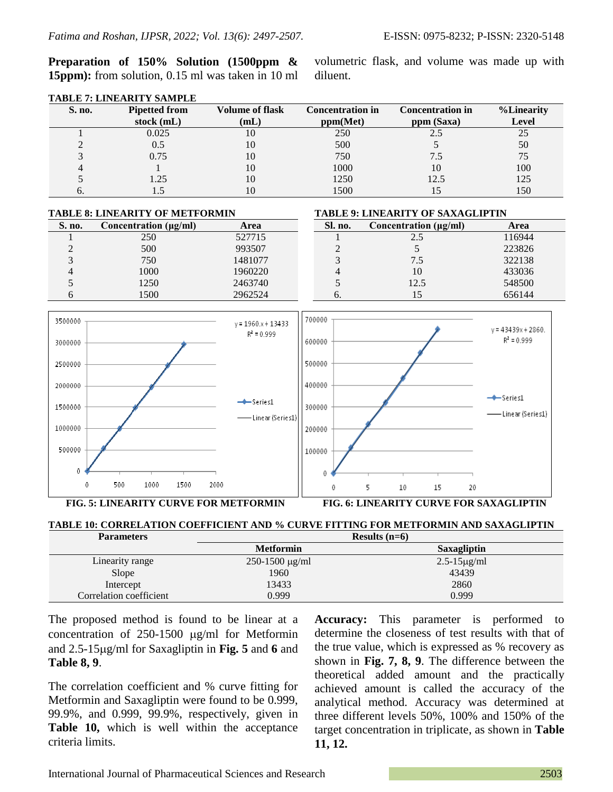**Preparation of 150% Solution (1500ppm & 15ppm):** from solution, 0.15 ml was taken in 10 ml volumetric flask, and volume was made up with diluent.

| S. no. | <b>Pipetted from</b> | <b>Volume of flask</b> | <b>Concentration in</b> | <b>Concentration in</b> | <b>%Linearity</b> |
|--------|----------------------|------------------------|-------------------------|-------------------------|-------------------|
|        | stock $(mL)$         | (mL)                   | ppm(Met)                | ppm (Saxa)              | <b>Level</b>      |
|        | 0.025                |                        | 250                     |                         |                   |
|        | 0.5                  | 10                     | 500                     |                         | 50                |
|        | 0.75                 | 10                     | 750                     | 7.5                     | 75                |
|        |                      | 10                     | 1000                    | 10                      | 100               |
|        | 1.25                 | 10                     | 1250                    | 12.5                    | 125               |
| O.     | C. I                 |                        | 1500                    | 15                      | 150               |

### **TABLE 7: LINEARITY SAMPLE**

| <b>TABLE 8: LINEARITY OF METFORMIN</b> |                            |         | <b>TABLE 9: LINEARITY OF SAXAGLIPTIN</b> |                            |        |
|----------------------------------------|----------------------------|---------|------------------------------------------|----------------------------|--------|
| S. no.                                 | Concentration $(\mu g/ml)$ | Area    | Sl. no.                                  | Concentration $(\mu g/ml)$ | Area   |
|                                        | 250                        | 527715  |                                          |                            | 116944 |
|                                        | 500                        | 993507  |                                          |                            | 223826 |
|                                        | 750                        | 1481077 |                                          | 7.5                        | 322138 |
|                                        | 1000                       | 1960220 | 4                                        | 10                         | 433036 |
|                                        | 1250                       | 2463740 |                                          | 12.5                       | 548500 |
|                                        | 1500                       | 2962524 | $\sigma$ .                               |                            | 656144 |



**FIG. 5: LINEARITY CURVE FOR METFORMIN FIG. 6: LINEARITY CURVE FOR SAXAGLIPTIN** 



| 1 ululluvu b            |                                  | $\frac{1}{2}$       |  |
|-------------------------|----------------------------------|---------------------|--|
|                         | <b>Metformin</b>                 | Saxagliptin         |  |
| Linearity range         | $250 - 1500 \,\mathrm{\mu g/ml}$ | $2.5 - 15 \mu g/ml$ |  |
| Slope                   | 1960                             | 43439               |  |
| Intercept               | 13433                            | 2860                |  |
| Correlation coefficient | 0.999                            | 0.999               |  |

The proposed method is found to be linear at a concentration of  $250-1500 \mu g/ml$  for Metformin and 2.5-15g/ml for Saxagliptin in **Fig. 5** and **6** and **Table 8, 9**.

The correlation coefficient and % curve fitting for Metformin and Saxagliptin were found to be 0.999, 99.9%, and 0.999, 99.9%, respectively, given in **Table 10,** which is well within the acceptance criteria limits.

**Accuracy:** This parameter is performed to determine the closeness of test results with that of the true value, which is expressed as % recovery as shown in **Fig. 7, 8, 9**. The difference between the theoretical added amount and the practically achieved amount is called the accuracy of the analytical method. Accuracy was determined at three different levels 50%, 100% and 150% of the target concentration in triplicate, as shown in **Table 11, 12.**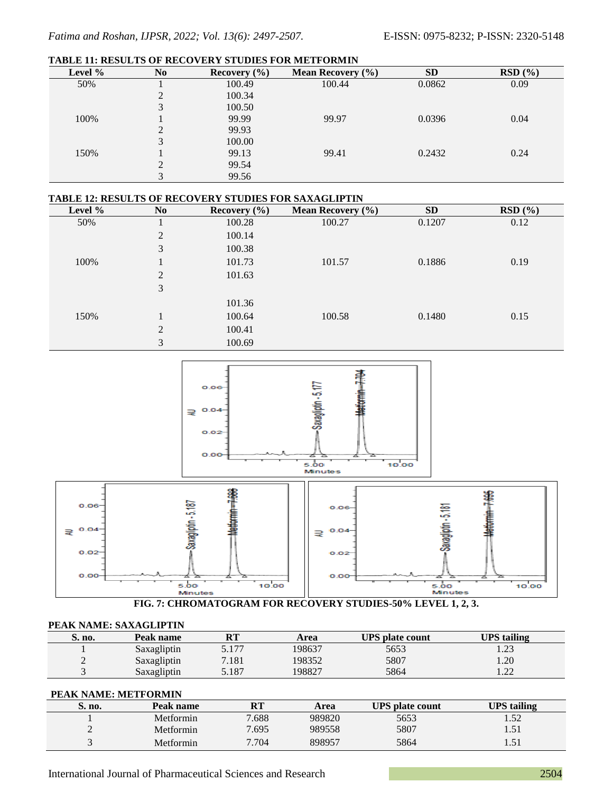#### **TABLE 11: RESULTS OF RECOVERY STUDIES FOR METFORMIN**

| Level % | N <sub>0</sub>      | Recovery $(\% )$ | <b>Mean Recovery</b> $(\% )$ | <b>SD</b> | RSD(%) |
|---------|---------------------|------------------|------------------------------|-----------|--------|
| 50%     |                     | 100.49           | 100.44                       | 0.0862    | 0.09   |
|         | ∍<br>$\overline{ }$ | 100.34           |                              |           |        |
|         | 3                   | 100.50           |                              |           |        |
| 100%    |                     | 99.99            | 99.97                        | 0.0396    | 0.04   |
|         | ↑                   | 99.93            |                              |           |        |
|         | 3                   | 100.00           |                              |           |        |
| 150%    |                     | 99.13            | 99.41                        | 0.2432    | 0.24   |
|         | 2                   | 99.54            |                              |           |        |
|         | 3                   | 99.56            |                              |           |        |

#### **TABLE 12: RESULTS OF RECOVERY STUDIES FOR SAXAGLIPTIN**

| Level % | N <sub>0</sub> | Recovery $(\% )$ | <b>Mean Recovery</b> $(\% )$ | SD     | RSD(%) |
|---------|----------------|------------------|------------------------------|--------|--------|
| 50%     |                | 100.28           | 100.27                       | 0.1207 | 0.12   |
|         | $\overline{2}$ | 100.14           |                              |        |        |
|         | 3              | 100.38           |                              |        |        |
| 100%    | T.             | 101.73           | 101.57                       | 0.1886 | 0.19   |
|         | $\overline{2}$ | 101.63           |                              |        |        |
|         | 3              |                  |                              |        |        |
|         |                | 101.36           |                              |        |        |
| 150%    |                | 100.64           | 100.58                       | 0.1480 | 0.15   |
|         | $\overline{2}$ | 100.41           |                              |        |        |
|         | 3              | 100.69           |                              |        |        |



**FIG. 7: CHROMATOGRAM FOR RECOVERY STUDIES-50% LEVEL 1, 2, 3.**

#### **PEAK NAME: SAXAGLIPTIN**

| S. no.                   | Peak name   | DТ<br>n i | Area   | <b>UPS</b> plate count | <b>UPS</b> tailing |
|--------------------------|-------------|-----------|--------|------------------------|--------------------|
|                          | Saxagliptin | 5.177     | 198637 | 5653                   | ر ے .              |
| $\overline{\phantom{0}}$ | Saxagliptin | 7.181     | 198352 | 5807                   | 1.20               |
|                          | Saxagliptin | 5.187     | 198827 | 5864                   | ാറ<br>.            |

#### **PEAK NAME: METFORMIN**

| S. no. | Peak name | <b>RT</b> | Area   | <b>UPS</b> plate count | <b>UPS</b> tailing |
|--------|-----------|-----------|--------|------------------------|--------------------|
|        | Metformin | 7.688     | 989820 | 5653                   | 52<br>1.JZ         |
| ∸      | Metformin | 7.695     | 989558 | 5807                   | ⊥ ل د ا            |
|        | Metformin | 7.704     | 898957 | 5864                   | ـد ب               |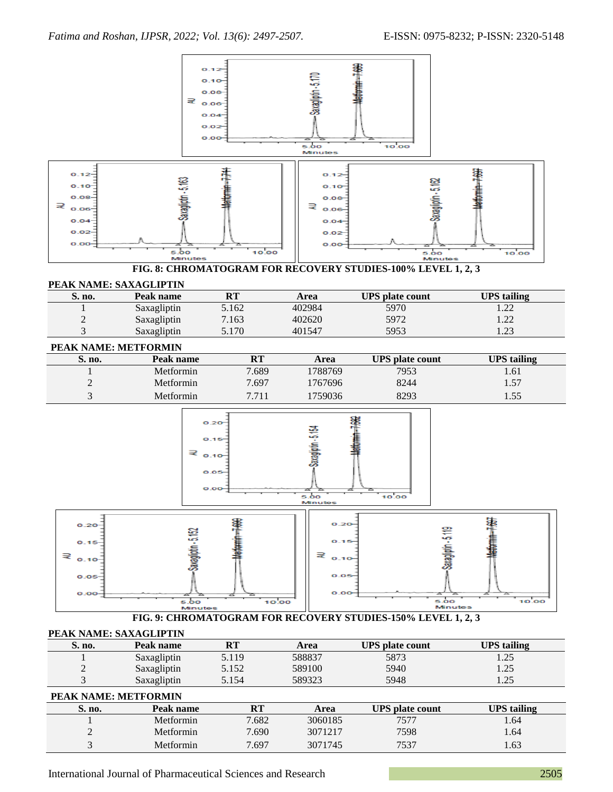

|  | PEAK NAME: SAXAGLIPTIN |
|--|------------------------|
|--|------------------------|

| S. no. | Peak name   | RT    | Area   | <b>UPS</b> plate count | <b>UPS</b> tailing |
|--------|-------------|-------|--------|------------------------|--------------------|
|        | Saxagliptin | 5.119 | 588837 | 5873                   | $\bigcap$<br>ر ے . |
| ∸      | Saxagliptin | 5.152 | 589100 | 5940                   | つく<br>ر ے .        |
|        | Saxagliptin | 5.154 | 589323 | 5948                   | $\bigcap$<br>ر ے . |

#### **PEAK NAME: METFORMIN**

| S. no. | Peak name | RT    | Area    | <b>UPS</b> plate count | UPS tailing |
|--------|-----------|-------|---------|------------------------|-------------|
|        | Metformin | 7.682 | 3060185 | 7577                   | .64         |
| ∼      | Metformin | 7.690 | 3071217 | 7598                   | .64         |
|        | Metformin | 7.697 | 3071745 | 7537                   | .63         |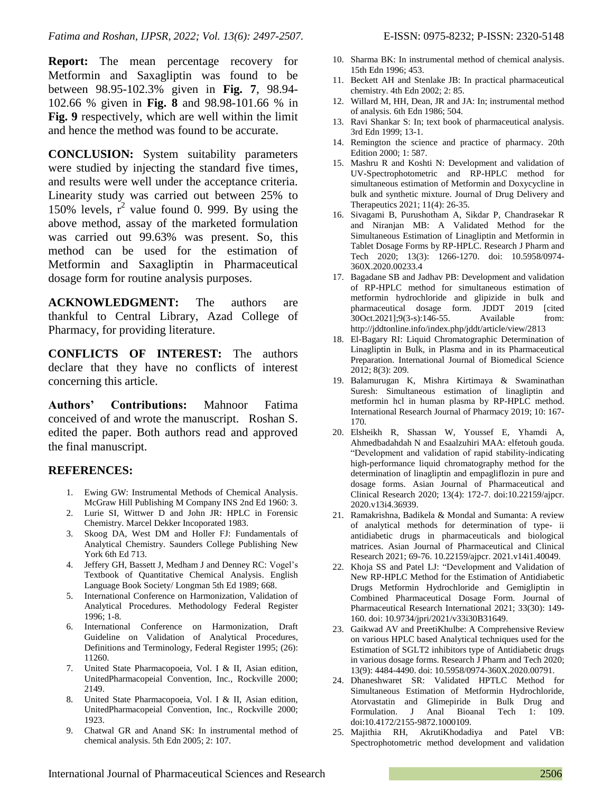**Report:** The mean percentage recovery for Metformin and Saxagliptin was found to be between 98.95-102.3% given in **Fig. 7**, 98.94- 102.66 % given in **Fig. 8** and 98.98-101.66 % in **Fig. 9** respectively, which are well within the limit and hence the method was found to be accurate.

**CONCLUSION:** System suitability parameters were studied by injecting the standard five times, and results were well under the acceptance criteria. Linearity study was carried out between 25% to 150% levels,  $r^2$  value found 0. 999. By using the above method, assay of the marketed formulation was carried out 99.63% was present. So, this method can be used for the estimation of Metformin and Saxagliptin in Pharmaceutical dosage form for routine analysis purposes.

**ACKNOWLEDGMENT:** The authors are thankful to Central Library, Azad College of Pharmacy, for providing literature.

**CONFLICTS OF INTEREST:** The authors declare that they have no conflicts of interest concerning this article.

**Authors' Contributions:** Mahnoor Fatima conceived of and wrote the manuscript. Roshan S. edited the paper. Both authors read and approved the final manuscript.

# **REFERENCES:**

- 1. Ewing GW: Instrumental Methods of Chemical Analysis. McGraw Hill Publishing M Company INS 2nd Ed 1960: 3.
- 2. Lurie SI, Wittwer D and John JR: HPLC in Forensic Chemistry. Marcel Dekker Incoporated 1983.
- 3. Skoog DA, West DM and Holler FJ: Fundamentals of Analytical Chemistry. Saunders College Publishing New York 6th Ed 713.
- 4. Jeffery GH, Bassett J, Medham J and Denney RC: Vogel's Textbook of Quantitative Chemical Analysis. English Language Book Society/ Longman 5th Ed 1989; 668.
- 5. International Conference on Harmonization, Validation of Analytical Procedures. Methodology Federal Register 1996; 1-8.
- 6. International Conference on Harmonization, Draft Guideline on Validation of Analytical Procedures, Definitions and Terminology, Federal Register 1995; (26): 11260.
- 7. United State Pharmacopoeia, Vol. I & II, Asian edition, UnitedPharmacopeial Convention, Inc., Rockville 2000; 2149.
- 8. United State Pharmacopoeia, Vol. I & II, Asian edition, UnitedPharmacopeial Convention, Inc., Rockville 2000; 1923.
- 9. Chatwal GR and Anand SK: In instrumental method of chemical analysis. 5th Edn 2005; 2: 107.
- 10. Sharma BK: In instrumental method of chemical analysis. 15th Edn 1996; 453.
- 11. Beckett AH and Stenlake JB: In practical pharmaceutical chemistry. 4th Edn 2002; 2: 85.
- 12. Willard M, HH, Dean, JR and JA: In; instrumental method of analysis. 6th Edn 1986; 504.
- 13. Ravi Shankar S: In; text book of pharmaceutical analysis. 3rd Edn 1999; 13-1.
- 14. Remington the science and practice of pharmacy. 20th Edition 2000; 1: 587.
- 15. Mashru R and Koshti N: Development and validation of UV-Spectrophotometric and RP-HPLC method for simultaneous estimation of Metformin and Doxycycline in bulk and synthetic mixture. Journal of Drug Delivery and Therapeutics 2021; 11(4): 26-35.
- 16. Sivagami B, Purushotham A, Sikdar P, Chandrasekar R and Niranjan MB: A Validated Method for the Simultaneous Estimation of Linagliptin and Metformin in Tablet Dosage Forms by RP-HPLC. Research J Pharm and Tech 2020; 13(3): 1266-1270. doi: 10.5958/0974- 360X.2020.00233.4
- 17. Bagadane SB and Jadhav PB: Development and validation of RP-HPLC method for simultaneous estimation of metformin hydrochloride and glipizide in bulk and pharmaceutical dosage form. JDDT 2019 [cited 30Oct.2021];9(3-s):146-55. Available from: http://jddtonline.info/index.php/jddt/article/view/2813
- 18. El-Bagary RI: Liquid Chromatographic Determination of Linagliptin in Bulk, in Plasma and in its Pharmaceutical Preparation. International Journal of Biomedical Science 2012; 8(3): 209.
- 19. Balamurugan K, Mishra Kirtimaya & Swaminathan Suresh: Simultaneous estimation of linagliptin and metformin hcl in human plasma by RP-HPLC method. International Research Journal of Pharmacy 2019; 10: 167- 170.
- 20. Elsheikh R, Shassan W, Youssef E, Yhamdi A, Ahmedbadahdah N and Esaalzuhiri MAA: elfetouh gouda. "Development and validation of rapid stability-indicating high-performance liquid chromatography method for the determination of linagliptin and empagliflozin in pure and dosage forms. Asian Journal of Pharmaceutical and Clinical Research 2020; 13(4): 172-7. doi:10.22159/ajpcr. 2020.v13i4.36939.
- 21. Ramakrishna, Badikela & Mondal and Sumanta: A review of analytical methods for determination of type- ii antidiabetic drugs in pharmaceuticals and biological matrices. Asian Journal of Pharmaceutical and Clinical Research 2021; 69-76. 10.22159/ajpcr. 2021.v14i1.40049.
- 22. Khoja SS and Patel LJ: "Development and Validation of New RP-HPLC Method for the Estimation of Antidiabetic Drugs Metformin Hydrochloride and Gemigliptin in Combined Pharmaceutical Dosage Form. Journal of Pharmaceutical Research International 2021; 33(30): 149- 160. doi: 10.9734/jpri/2021/v33i30B31649.
- 23. Gaikwad AV and PreetiKhulbe: A Comprehensive Review on various HPLC based Analytical techniques used for the Estimation of SGLT2 inhibitors type of Antidiabetic drugs in various dosage forms. Research J Pharm and Tech 2020; 13(9): 4484-4490. doi: 10.5958/0974-360X.2020.00791.
- 24. Dhaneshwaret SR: Validated HPTLC Method for Simultaneous Estimation of Metformin Hydrochloride, Atorvastatin and Glimepiride in Bulk Drug and Formulation. J Anal Bioanal Tech 1: 109. doi:10.4172/2155-9872.1000109.
- 25. Majithia RH, AkrutiKhodadiya and Patel VB: Spectrophotometric method development and validation